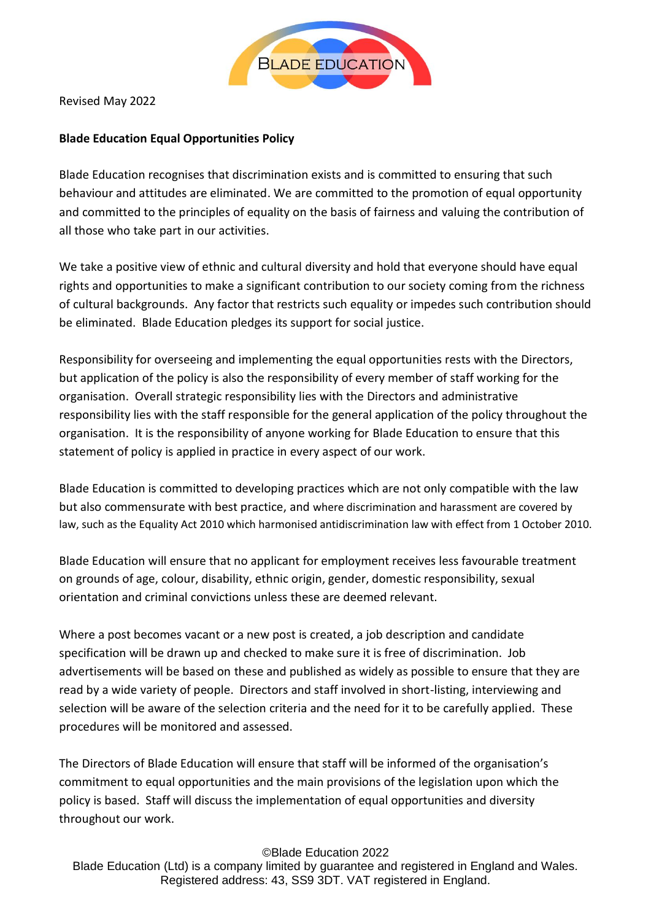

Revised May 2022

## **Blade Education Equal Opportunities Policy**

Blade Education recognises that discrimination exists and is committed to ensuring that such behaviour and attitudes are eliminated. We are committed to the promotion of equal opportunity and committed to the principles of equality on the basis of fairness and valuing the contribution of all those who take part in our activities.

We take a positive view of ethnic and cultural diversity and hold that everyone should have equal rights and opportunities to make a significant contribution to our society coming from the richness of cultural backgrounds. Any factor that restricts such equality or impedes such contribution should be eliminated. Blade Education pledges its support for social justice.

Responsibility for overseeing and implementing the equal opportunities rests with the Directors, but application of the policy is also the responsibility of every member of staff working for the organisation. Overall strategic responsibility lies with the Directors and administrative responsibility lies with the staff responsible for the general application of the policy throughout the organisation. It is the responsibility of anyone working for Blade Education to ensure that this statement of policy is applied in practice in every aspect of our work.

Blade Education is committed to developing practices which are not only compatible with the law but also commensurate with best practice, and where discrimination and harassment are covered by law, such as the Equality Act 2010 which harmonised antidiscrimination law with effect from 1 October 2010.

Blade Education will ensure that no applicant for employment receives less favourable treatment on grounds of age, colour, disability, ethnic origin, gender, domestic responsibility, sexual orientation and criminal convictions unless these are deemed relevant.

Where a post becomes vacant or a new post is created, a job description and candidate specification will be drawn up and checked to make sure it is free of discrimination. Job advertisements will be based on these and published as widely as possible to ensure that they are read by a wide variety of people. Directors and staff involved in short-listing, interviewing and selection will be aware of the selection criteria and the need for it to be carefully applied. These procedures will be monitored and assessed.

The Directors of Blade Education will ensure that staff will be informed of the organisation's commitment to equal opportunities and the main provisions of the legislation upon which the policy is based. Staff will discuss the implementation of equal opportunities and diversity throughout our work.

©Blade Education 2022

Blade Education (Ltd) is a company limited by guarantee and registered in England and Wales. Registered address: 43, SS9 3DT. VAT registered in England.